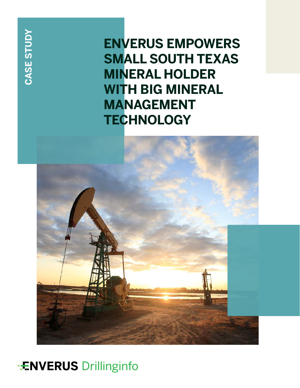**CASE STUDY**

**ENVERUS EMPOWERS SMALL SOUTH TEXAS MINERAL HOLDER WITH BIG MINERAL MANAGEMENT TECHNOLOGY**



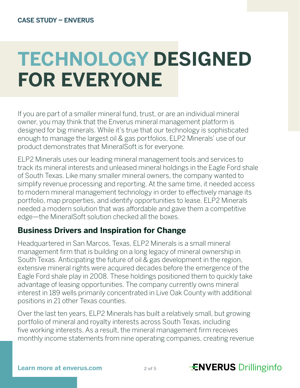# **TECHNOLOGY DESIGNED FOR EVERYONE**

If you are part of a smaller mineral fund, trust, or are an individual mineral owner, you may think that the Enverus mineral management platform is designed for big minerals. While it's true that our technology is sophisticated enough to manage the largest oil & gas portfolios, ELP2 Minerals' use of our product demonstrates that MineralSoft is for everyone.

ELP2 Minerals uses our leading mineral management tools and services to track its mineral interests and unleased mineral holdings in the Eagle Ford shale of South Texas. Like many smaller mineral owners, the company wanted to simplify revenue processing and reporting. At the same time, it needed access to modern mineral management technology in order to effectively manage its portfolio, map properties, and identify opportunities to lease. ELP2 Minerals needed a modern solution that was affordable and gave them a competitive edge—the MineralSoft solution checked all the boxes.

## **Business Drivers and Inspiration for Change**

Headquartered in San Marcos, Texas, ELP2 Minerals is a small mineral management firm that is building on a long legacy of mineral ownership in South Texas. Anticipating the future of oil & gas development in the region, extensive mineral rights were acquired decades before the emergence of the Eagle Ford shale play in 2008. These holdings positioned them to quickly take advantage of leasing opportunities. The company currently owns mineral interest in 189 wells primarily concentrated in Live Oak County with additional positions in 21 other Texas counties.

Over the last ten years, ELP2 Minerals has built a relatively small, but growing portfolio of mineral and royalty interests across South Texas, including five working interests. As a result, the mineral management firm receives monthly income statements from nine operating companies, creating revenue

# Learn more at enverus.com **2008** 2 of 5 **CONS** Drillinginfo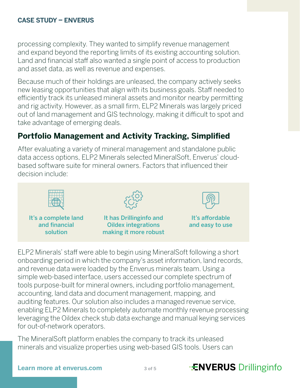processing complexity. They wanted to simplify revenue management and expand beyond the reporting limits of its existing accounting solution. Land and financial staff also wanted a single point of access to production and asset data, as well as revenue and expenses.

Because much of their holdings are unleased, the company actively seeks new leasing opportunities that align with its business goals. Staff needed to efficiently track its unleased mineral assets and monitor nearby permitting and rig activity. However, as a small firm, ELP2 Minerals was largely priced out of land management and GIS technology, making it difficult to spot and take advantage of emerging deals.

# **Portfolio Management and Activity Tracking, Simplified**

After evaluating a variety of mineral management and standalone public data access options, ELP2 Minerals selected MineralSoft, Enverus' cloudbased software suite for mineral owners. Factors that influenced their decision include:



It's a complete land and financial solution



It has Drillinginfo and Oildex integrations making it more robust



It's affordable and easy to use

ELP2 Minerals' staff were able to begin using MineralSoft following a short onboarding period in which the company's asset information, land records, and revenue data were loaded by the Enverus minerals team. Using a simple web-based interface, users accessed our complete spectrum of tools purpose-built for mineral owners, including portfolio management, accounting, land data and document management, mapping, and auditing features. Our solution also includes a managed revenue service, enabling ELP2 Minerals to completely automate monthly revenue processing leveraging the Oildex check stub data exchange and manual keying services for out-of-network operators.

The MineralSoft platform enables the company to track its unleased minerals and visualize properties using web-based GIS tools. Users can

# **Learn more at enverus.com 30f5 TENVERUS** Drillinginfo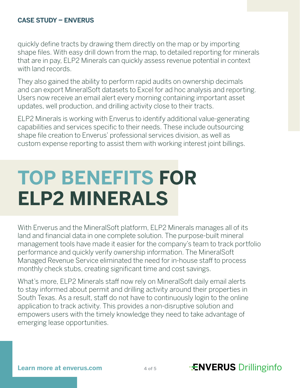quickly define tracts by drawing them directly on the map or by importing shape files. With easy drill down from the map, to detailed reporting for minerals that are in pay, ELP2 Minerals can quickly assess revenue potential in context with land records.

They also gained the ability to perform rapid audits on ownership decimals and can export MineralSoft datasets to Excel for ad hoc analysis and reporting. Users now receive an email alert every morning containing important asset updates, well production, and drilling activity close to their tracts.

ELP2 Minerals is working with Enverus to identify additional value-generating capabilities and services specific to their needs. These include outsourcing shape file creation to Enverus' professional services division, as well as custom expense reporting to assist them with working interest joint billings.

# **TOP BENEFITS FOR ELP2 MINERALS**

With Enverus and the MineralSoft platform, ELP2 Minerals manages all of its land and financial data in one complete solution. The purpose-built mineral management tools have made it easier for the company's team to track portfolio performance and quickly verify ownership information. The MineralSoft Managed Revenue Service eliminated the need for in-house staff to process monthly check stubs, creating significant time and cost savings.

What's more, ELP2 Minerals staff now rely on MineralSoft daily email alerts to stay informed about permit and drilling activity around their properties in South Texas. As a result, staff do not have to continuously login to the online application to track activity. This provides a non-disruptive solution and empowers users with the timely knowledge they need to take advantage of emerging lease opportunities.

# **Learn more at enverus.com 1996 1997 1998 12:30 Prillinginfo**